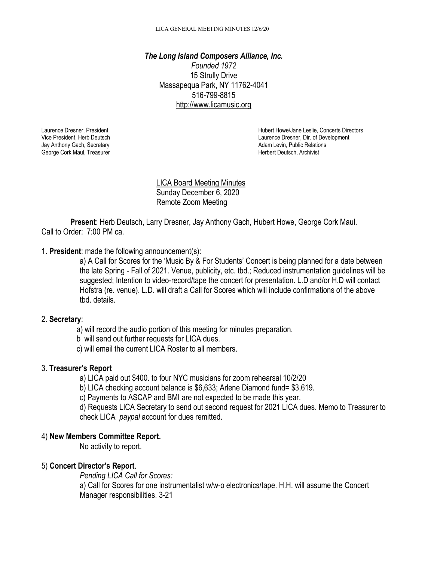*The Long Island Composers Alliance, Inc. Founded 1972* 15 Strully Drive Massapequa Park, NY 11762-4041 516-799-8815 [http://www.licamusic.org](http://www.licamusic.org/)

Jay Anthony Gach, Secretary **Adam Levin, Public Relations** Ceorge Cork Maul, Treasurer Adam Levin, Public Relations<br>
George Cork Maul, Treasurer **Adam Levin, Accelering Corporations** Ceorge Cork Maul, Treasurer Adam Levin, George Cork Maul, Treasurer

Herbert Deutsch, President Laurence Dresner, President Hubert Howe/Jane Leslie, Concerts Directors Vice President, Herb Deutsch Chronic Chronic Chronic Vice President, Herb Deutsch Laurence Dresner, Dir. of Development

> LICA Board Meeting Minutes Sunday December 6, 2020 Remote Zoom Meeting

**Present**: Herb Deutsch, Larry Dresner, Jay Anthony Gach, Hubert Howe, George Cork Maul. Call to Order: 7:00 PM ca.

1. **President**: made the following announcement(s):

a) A Call for Scores for the 'Music By & For Students' Concert is being planned for a date between the late Spring - Fall of 2021. Venue, publicity, etc. tbd.; Reduced instrumentation guidelines will be suggested; Intention to video-record/tape the concert for presentation. L.D and/or H.D will contact Hofstra (re. venue). L.D. will draft a Call for Scores which will include confirmations of the above tbd. details.

# 2. **Secretary**:

a) will record the audio portion of this meeting for minutes preparation.

b will send out further requests for LICA dues.

c) will email the current LICA Roster to all members.

#### 3. **Treasurer's Report**

a) LICA paid out \$400. to four NYC musicians for zoom rehearsal 10/2/20

b) LICA checking account balance is \$6,633; Arlene Diamond fund= \$3,619.

c) Payments to ASCAP and BMI are not expected to be made this year.

d) Requests LICA Secretary to send out second request for 2021 LICA dues. Memo to Treasurer to check LICA *paypal* account for dues remitted.

# 4) **New Members Committee Report.**

No activity to report.

# 5) **Concert Director's Report**.

*Pending LICA Call for Scores:*

a) Call for Scores for one instrumentalist w/w-o electronics/tape. H.H. will assume the Concert Manager responsibilities. 3-21